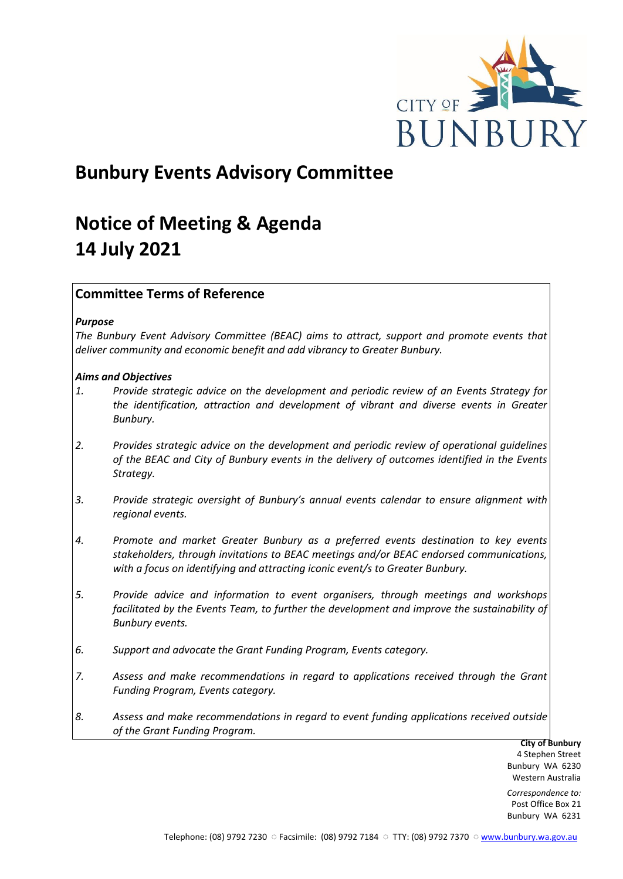

# **Bunbury Events Advisory Committee**

# **Notice of Meeting & Agenda 14 July 2021**

# **Committee Terms of Reference**

## *Purpose*

*The Bunbury Event Advisory Committee (BEAC) aims to attract, support and promote events that deliver community and economic benefit and add vibrancy to Greater Bunbury.*

## *Aims and Objectives*

- *1. Provide strategic advice on the development and periodic review of an Events Strategy for the identification, attraction and development of vibrant and diverse events in Greater Bunbury.*
- *2. Provides strategic advice on the development and periodic review of operational guidelines of the BEAC and City of Bunbury events in the delivery of outcomes identified in the Events Strategy.*
- *3. Provide strategic oversight of Bunbury's annual events calendar to ensure alignment with regional events.*
- *4. Promote and market Greater Bunbury as a preferred events destination to key events stakeholders, through invitations to BEAC meetings and/or BEAC endorsed communications, with a focus on identifying and attracting iconic event/s to Greater Bunbury.*
- *5. Provide advice and information to event organisers, through meetings and workshops*  facilitated by the Events Team, to further the development and improve the sustainability of *Bunbury events.*
- *6. Support and advocate the Grant Funding Program, Events category.*
- *7. Assess and make recommendations in regard to applications received through the Grant Funding Program, Events category.*
- *8. Assess and make recommendations in regard to event funding applications received outside of the Grant Funding Program.*

**City of Bunbury** 4 Stephen Street Bunbury WA 6230 Western Australia

*Correspondence to:* Post Office Box 21 Bunbury WA 6231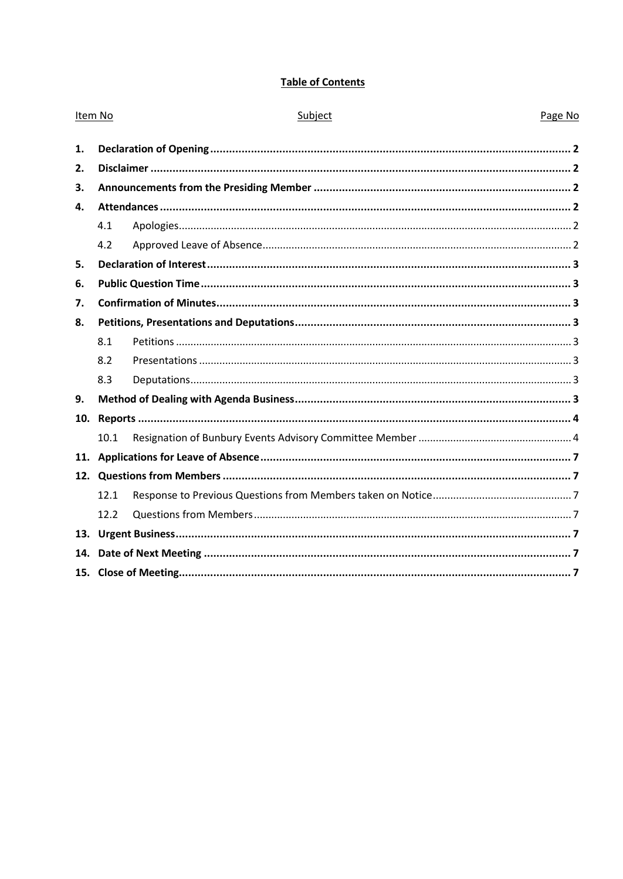# **Table of Contents**

| Item No      |      | Subject | Page No |  |
|--------------|------|---------|---------|--|
| 1.           |      |         |         |  |
| 2.           |      |         |         |  |
| 3.           |      |         |         |  |
| $\mathbf{4}$ |      |         |         |  |
|              | 4.1  |         |         |  |
|              | 4.2  |         |         |  |
| 5.           |      |         |         |  |
| 6.           |      |         |         |  |
| 7.           |      |         |         |  |
| 8.           |      |         |         |  |
|              | 8.1  |         |         |  |
|              | 8.2  |         |         |  |
|              | 8.3  |         |         |  |
| 9.           |      |         |         |  |
| 10.          |      |         |         |  |
|              | 10.1 |         |         |  |
| 11.          |      |         |         |  |
|              |      |         |         |  |
|              | 12.1 |         |         |  |
|              | 12.2 |         |         |  |
|              |      |         |         |  |
| 14.          |      |         |         |  |
|              |      |         |         |  |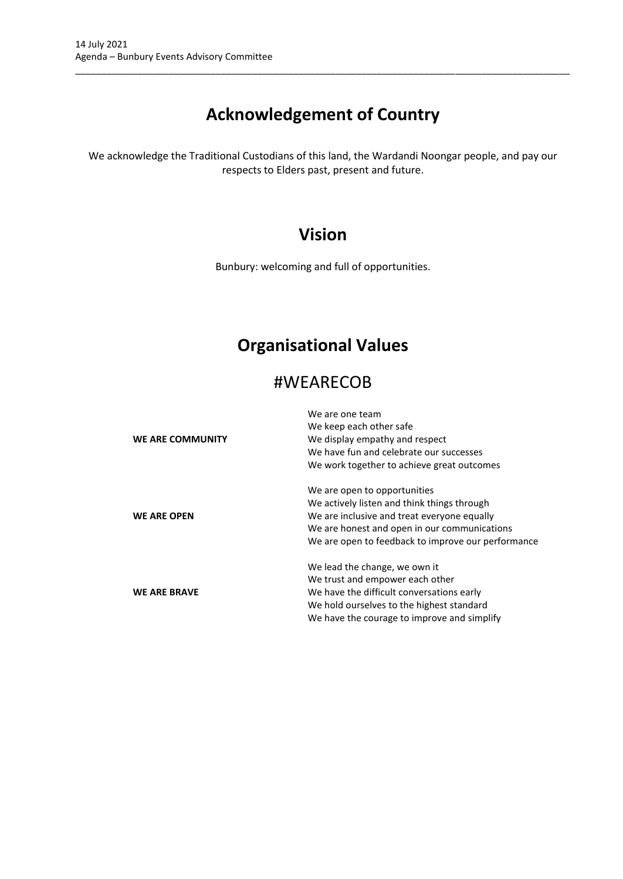# **Acknowledgement of Country**

\_\_\_\_\_\_\_\_\_\_\_\_\_\_\_\_\_\_\_\_\_\_\_\_\_\_\_\_\_\_\_\_\_\_\_\_\_\_\_\_\_\_\_\_\_\_\_\_\_\_\_\_\_\_\_\_\_\_\_\_\_\_\_\_\_\_\_\_\_\_\_\_\_\_\_\_\_\_\_\_\_\_\_\_\_\_\_\_\_\_\_\_\_\_\_

We acknowledge the Traditional Custodians of this land, the Wardandi Noongar people, and pay our respects to Elders past, present and future.

# **Vision**

Bunbury: welcoming and full of opportunities.

# **Organisational Values**

# #WEARECOB

| <b>WE ARE COMMUNITY</b> | We are one team<br>We keep each other safe<br>We display empathy and respect<br>We have fun and celebrate our successes<br>We work together to achieve great outcomes                                                            |
|-------------------------|----------------------------------------------------------------------------------------------------------------------------------------------------------------------------------------------------------------------------------|
| <b>WE ARE OPEN</b>      | We are open to opportunities<br>We actively listen and think things through<br>We are inclusive and treat everyone equally<br>We are honest and open in our communications<br>We are open to feedback to improve our performance |
| <b>WE ARE BRAVE</b>     | We lead the change, we own it<br>We trust and empower each other<br>We have the difficult conversations early<br>We hold ourselves to the highest standard<br>We have the courage to improve and simplify                        |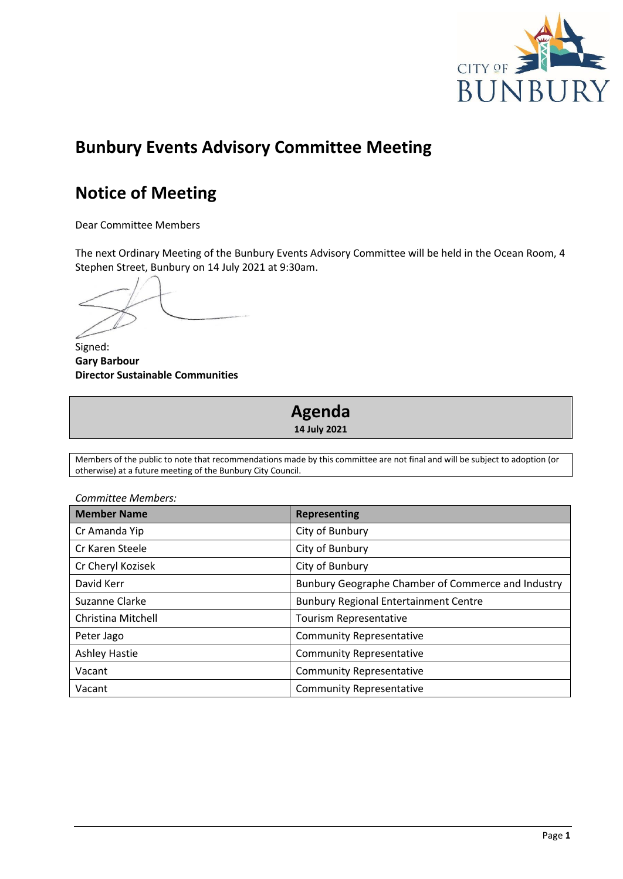

# **Bunbury Events Advisory Committee Meeting**

# **Notice of Meeting**

Dear Committee Members

The next Ordinary Meeting of the Bunbury Events Advisory Committee will be held in the Ocean Room, 4 Stephen Street, Bunbury on 14 July 2021 at 9:30am.

Signed: **Gary Barbour Director Sustainable Communities**

# **Agenda 14 July 2021**

Members of the public to note that recommendations made by this committee are not final and will be subject to adoption (or otherwise) at a future meeting of the Bunbury City Council.

| Committee Members:   |                                                    |  |  |  |
|----------------------|----------------------------------------------------|--|--|--|
| <b>Member Name</b>   | <b>Representing</b>                                |  |  |  |
| Cr Amanda Yip        | City of Bunbury                                    |  |  |  |
| Cr Karen Steele      | City of Bunbury                                    |  |  |  |
| Cr Cheryl Kozisek    | City of Bunbury                                    |  |  |  |
| David Kerr           | Bunbury Geographe Chamber of Commerce and Industry |  |  |  |
| Suzanne Clarke       | <b>Bunbury Regional Entertainment Centre</b>       |  |  |  |
| Christina Mitchell   | <b>Tourism Representative</b>                      |  |  |  |
| Peter Jago           | <b>Community Representative</b>                    |  |  |  |
| <b>Ashley Hastie</b> | <b>Community Representative</b>                    |  |  |  |
| Vacant               | <b>Community Representative</b>                    |  |  |  |
| Vacant               | <b>Community Representative</b>                    |  |  |  |

Page **1**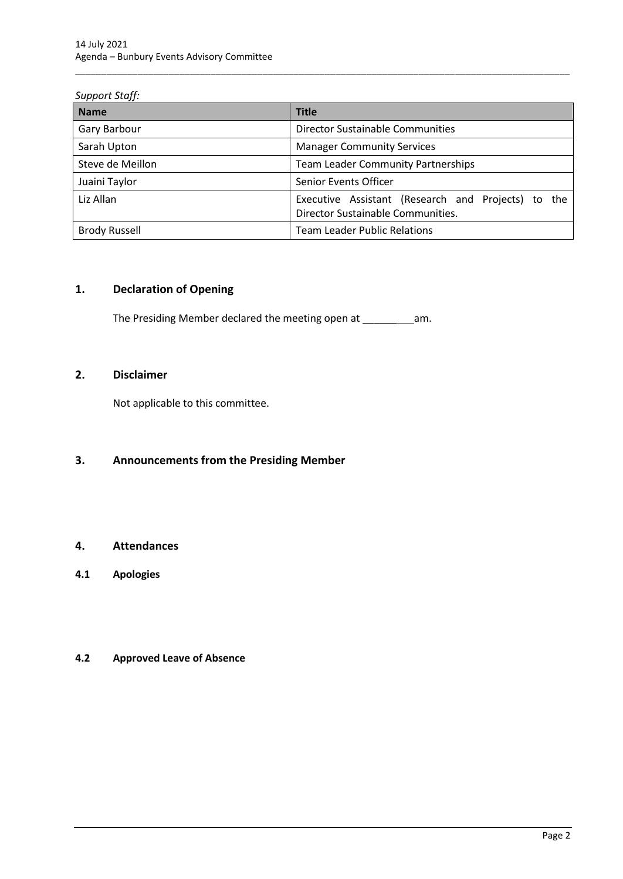### *Support Staff:*

| <b>Name</b>          | <b>Title</b>                                                                            |  |  |  |
|----------------------|-----------------------------------------------------------------------------------------|--|--|--|
| Gary Barbour         | Director Sustainable Communities                                                        |  |  |  |
| Sarah Upton          | <b>Manager Community Services</b>                                                       |  |  |  |
| Steve de Meillon     | <b>Team Leader Community Partnerships</b>                                               |  |  |  |
| Juaini Taylor        | Senior Events Officer                                                                   |  |  |  |
| Liz Allan            | Executive Assistant (Research and Projects) to the<br>Director Sustainable Communities. |  |  |  |
| <b>Brody Russell</b> | <b>Team Leader Public Relations</b>                                                     |  |  |  |

\_\_\_\_\_\_\_\_\_\_\_\_\_\_\_\_\_\_\_\_\_\_\_\_\_\_\_\_\_\_\_\_\_\_\_\_\_\_\_\_\_\_\_\_\_\_\_\_\_\_\_\_\_\_\_\_\_\_\_\_\_\_\_\_\_\_\_\_\_\_\_\_\_\_\_\_\_\_\_\_\_\_\_\_\_\_\_\_\_\_\_\_\_\_\_

# <span id="page-4-0"></span>**1. Declaration of Opening**

The Presiding Member declared the meeting open at \_\_\_\_\_\_\_\_\_\_\_\_\_\_\_\_\_\_\_\_\_\_\_\_\_\_\_\_\_\_\_

# <span id="page-4-1"></span>**2. Disclaimer**

Not applicable to this committee.

# <span id="page-4-2"></span>**3. Announcements from the Presiding Member**

# <span id="page-4-3"></span>**4. Attendances**

<span id="page-4-4"></span>**4.1 Apologies**

# <span id="page-4-5"></span>**4.2 Approved Leave of Absence**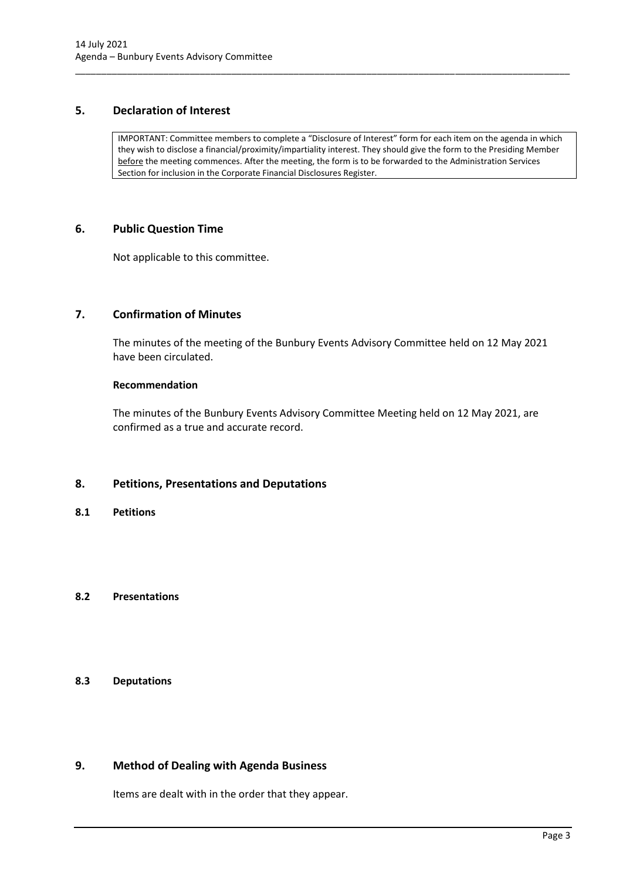# <span id="page-5-0"></span>**5. Declaration of Interest**

IMPORTANT: Committee members to complete a "Disclosure of Interest" form for each item on the agenda in which they wish to disclose a financial/proximity/impartiality interest. They should give the form to the Presiding Member before the meeting commences. After the meeting, the form is to be forwarded to the Administration Services Section for inclusion in the Corporate Financial Disclosures Register.

\_\_\_\_\_\_\_\_\_\_\_\_\_\_\_\_\_\_\_\_\_\_\_\_\_\_\_\_\_\_\_\_\_\_\_\_\_\_\_\_\_\_\_\_\_\_\_\_\_\_\_\_\_\_\_\_\_\_\_\_\_\_\_\_\_\_\_\_\_\_\_\_\_\_\_\_\_\_\_\_\_\_\_\_\_\_\_\_\_\_\_\_\_\_\_

## <span id="page-5-1"></span>**6. Public Question Time**

Not applicable to this committee.

# <span id="page-5-2"></span>**7. Confirmation of Minutes**

The minutes of the meeting of the Bunbury Events Advisory Committee held on 12 May 2021 have been circulated.

#### **Recommendation**

The minutes of the Bunbury Events Advisory Committee Meeting held on 12 May 2021, are confirmed as a true and accurate record.

# <span id="page-5-3"></span>**8. Petitions, Presentations and Deputations**

<span id="page-5-4"></span>**8.1 Petitions**

## <span id="page-5-5"></span>**8.2 Presentations**

# <span id="page-5-6"></span>**8.3 Deputations**

# <span id="page-5-7"></span>**9. Method of Dealing with Agenda Business**

Items are dealt with in the order that they appear.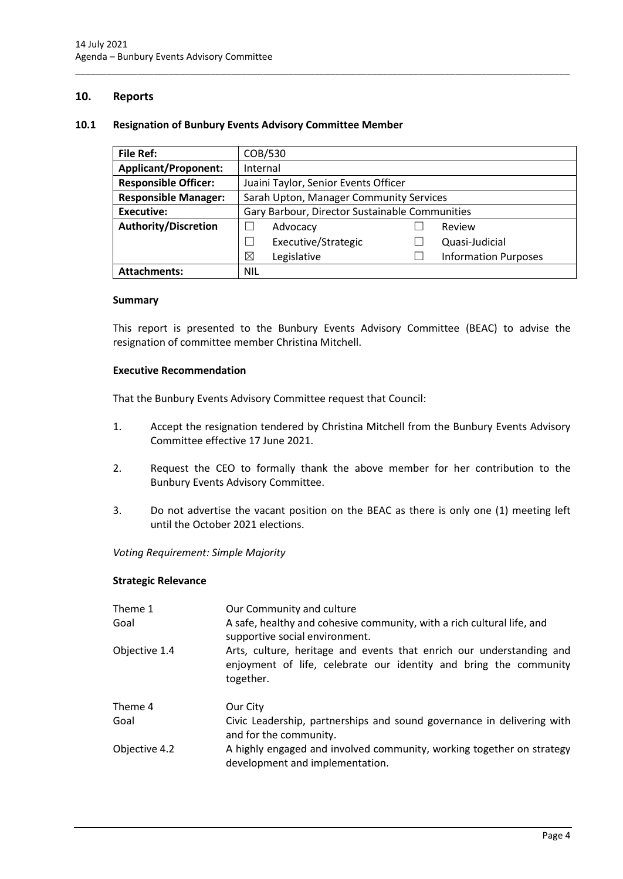## <span id="page-6-0"></span>**10. Reports**

#### <span id="page-6-1"></span>**10.1 Resignation of Bunbury Events Advisory Committee Member**

| <b>File Ref:</b>            | COB/530                                        |  |                             |  |
|-----------------------------|------------------------------------------------|--|-----------------------------|--|
| <b>Applicant/Proponent:</b> | Internal                                       |  |                             |  |
| <b>Responsible Officer:</b> | Juaini Taylor, Senior Events Officer           |  |                             |  |
| <b>Responsible Manager:</b> | Sarah Upton, Manager Community Services        |  |                             |  |
| <b>Executive:</b>           | Gary Barbour, Director Sustainable Communities |  |                             |  |
| <b>Authority/Discretion</b> | Advocacy                                       |  | Review                      |  |
|                             | Executive/Strategic                            |  | Quasi-Judicial              |  |
|                             | ⊠<br>Legislative                               |  | <b>Information Purposes</b> |  |
| <b>Attachments:</b>         | <b>NIL</b>                                     |  |                             |  |

\_\_\_\_\_\_\_\_\_\_\_\_\_\_\_\_\_\_\_\_\_\_\_\_\_\_\_\_\_\_\_\_\_\_\_\_\_\_\_\_\_\_\_\_\_\_\_\_\_\_\_\_\_\_\_\_\_\_\_\_\_\_\_\_\_\_\_\_\_\_\_\_\_\_\_\_\_\_\_\_\_\_\_\_\_\_\_\_\_\_\_\_\_\_\_

#### **Summary**

This report is presented to the Bunbury Events Advisory Committee (BEAC) to advise the resignation of committee member Christina Mitchell.

#### **Executive Recommendation**

That the Bunbury Events Advisory Committee request that Council:

- 1. Accept the resignation tendered by Christina Mitchell from the Bunbury Events Advisory Committee effective 17 June 2021.
- 2. Request the CEO to formally thank the above member for her contribution to the Bunbury Events Advisory Committee.
- 3. Do not advertise the vacant position on the BEAC as there is only one (1) meeting left until the October 2021 elections.

*Voting Requirement: Simple Majority* 

#### **Strategic Relevance**

| Theme 1<br>Goal | Our Community and culture<br>A safe, healthy and cohesive community, with a rich cultural life, and<br>supportive social environment.                  |
|-----------------|--------------------------------------------------------------------------------------------------------------------------------------------------------|
| Objective 1.4   | Arts, culture, heritage and events that enrich our understanding and<br>enjoyment of life, celebrate our identity and bring the community<br>together. |
| Theme 4         | Our City                                                                                                                                               |
| Goal            | Civic Leadership, partnerships and sound governance in delivering with<br>and for the community.                                                       |
| Objective 4.2   | A highly engaged and involved community, working together on strategy<br>development and implementation.                                               |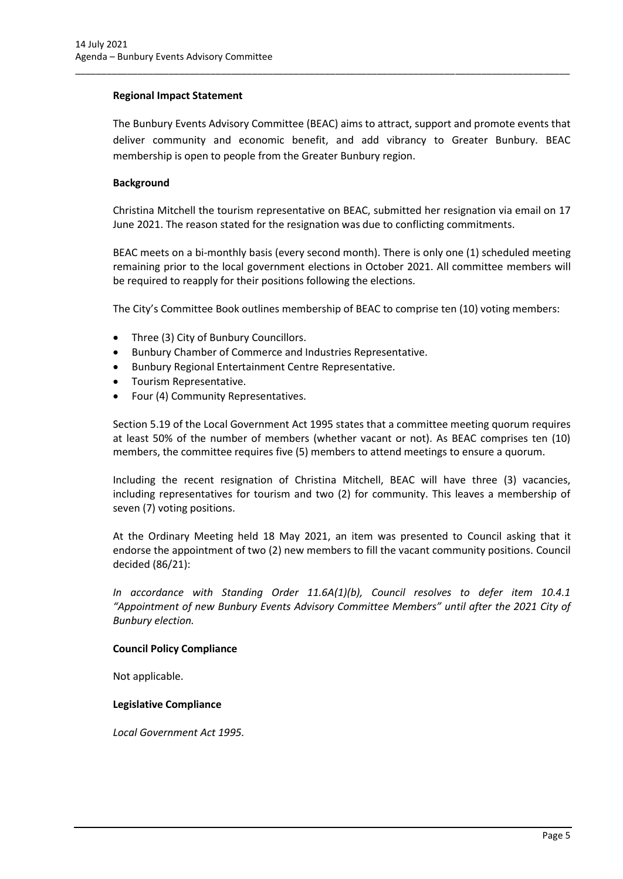### **Regional Impact Statement**

The Bunbury Events Advisory Committee (BEAC) aims to attract, support and promote events that deliver community and economic benefit, and add vibrancy to Greater Bunbury. BEAC membership is open to people from the Greater Bunbury region.

\_\_\_\_\_\_\_\_\_\_\_\_\_\_\_\_\_\_\_\_\_\_\_\_\_\_\_\_\_\_\_\_\_\_\_\_\_\_\_\_\_\_\_\_\_\_\_\_\_\_\_\_\_\_\_\_\_\_\_\_\_\_\_\_\_\_\_\_\_\_\_\_\_\_\_\_\_\_\_\_\_\_\_\_\_\_\_\_\_\_\_\_\_\_\_

### **Background**

Christina Mitchell the tourism representative on BEAC, submitted her resignation via email on 17 June 2021. The reason stated for the resignation was due to conflicting commitments.

BEAC meets on a bi-monthly basis (every second month). There is only one (1) scheduled meeting remaining prior to the local government elections in October 2021. All committee members will be required to reapply for their positions following the elections.

The City's Committee Book outlines membership of BEAC to comprise ten (10) voting members:

- Three (3) City of Bunbury Councillors.
- Bunbury Chamber of Commerce and Industries Representative.
- Bunbury Regional Entertainment Centre Representative.
- Tourism Representative.
- Four (4) Community Representatives.

Section 5.19 of the Local Government Act 1995 states that a committee meeting quorum requires at least 50% of the number of members (whether vacant or not). As BEAC comprises ten (10) members, the committee requires five (5) members to attend meetings to ensure a quorum.

Including the recent resignation of Christina Mitchell, BEAC will have three (3) vacancies, including representatives for tourism and two (2) for community. This leaves a membership of seven (7) voting positions.

At the Ordinary Meeting held 18 May 2021, an item was presented to Council asking that it endorse the appointment of two (2) new members to fill the vacant community positions. Council decided (86/21):

*In accordance with Standing Order 11.6A(1)(b), Council resolves to defer item 10.4.1 "Appointment of new Bunbury Events Advisory Committee Members" until after the 2021 City of Bunbury election.* 

### **Council Policy Compliance**

Not applicable.

### **Legislative Compliance**

*Local Government Act 1995.*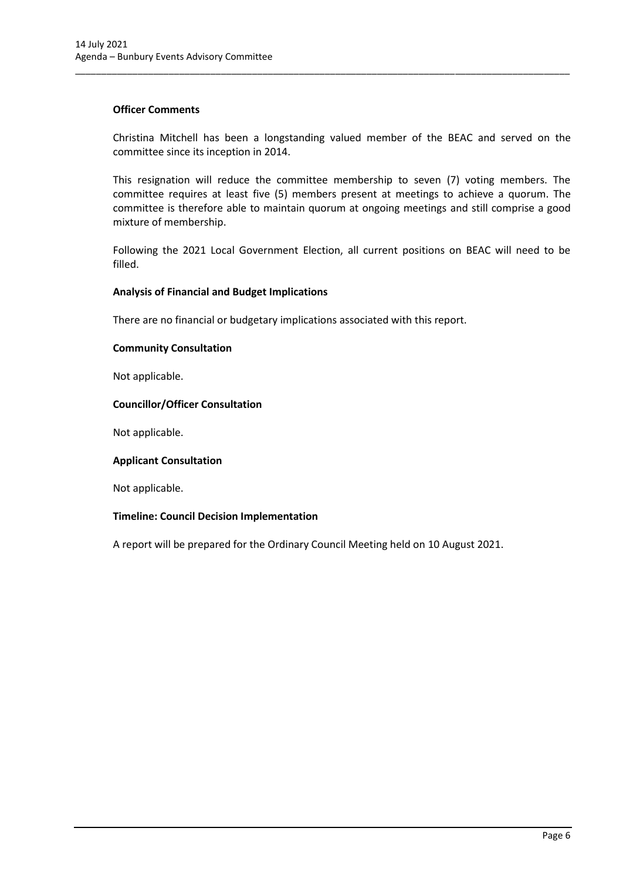### **Officer Comments**

Christina Mitchell has been a longstanding valued member of the BEAC and served on the committee since its inception in 2014.

\_\_\_\_\_\_\_\_\_\_\_\_\_\_\_\_\_\_\_\_\_\_\_\_\_\_\_\_\_\_\_\_\_\_\_\_\_\_\_\_\_\_\_\_\_\_\_\_\_\_\_\_\_\_\_\_\_\_\_\_\_\_\_\_\_\_\_\_\_\_\_\_\_\_\_\_\_\_\_\_\_\_\_\_\_\_\_\_\_\_\_\_\_\_\_

This resignation will reduce the committee membership to seven (7) voting members. The committee requires at least five (5) members present at meetings to achieve a quorum. The committee is therefore able to maintain quorum at ongoing meetings and still comprise a good mixture of membership.

Following the 2021 Local Government Election, all current positions on BEAC will need to be filled.

### **Analysis of Financial and Budget Implications**

There are no financial or budgetary implications associated with this report.

### **Community Consultation**

Not applicable.

### **Councillor/Officer Consultation**

Not applicable.

### **Applicant Consultation**

Not applicable.

### **Timeline: Council Decision Implementation**

A report will be prepared for the Ordinary Council Meeting held on 10 August 2021.